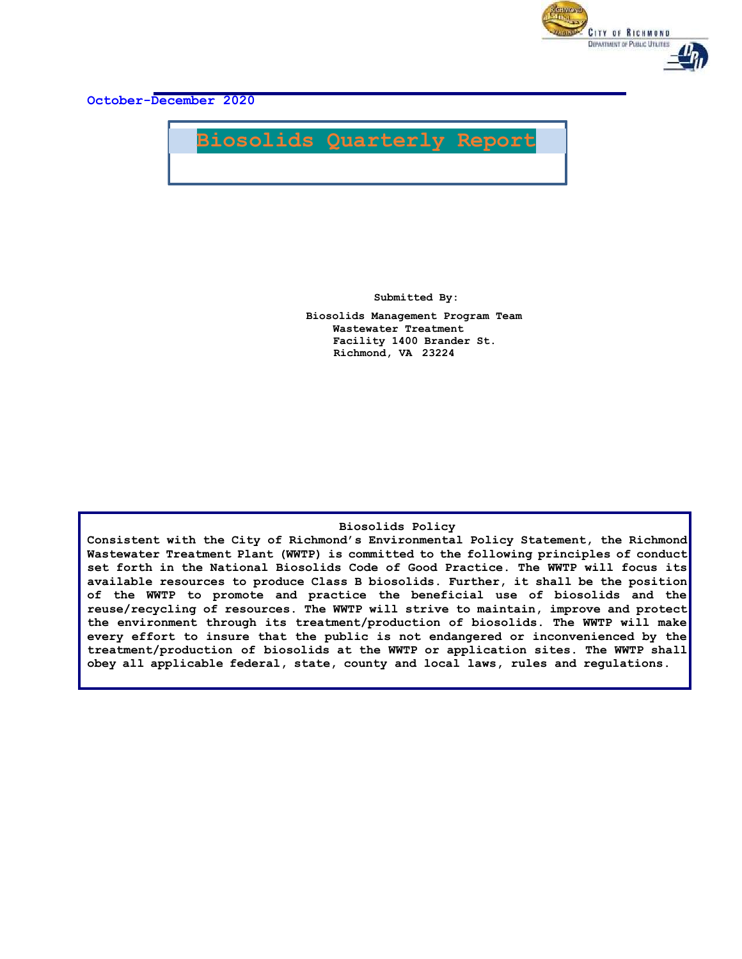

**October-December 2020**



**Submitted By:**

**Biosolids Management Program Team Wastewater Treatment Facility 1400 Brander St. Richmond, VA 23224**

#### **Biosolids Policy**

**Consistent with the City of Richmond's Environmental Policy Statement, the Richmond Wastewater Treatment Plant (WWTP) is committed to the following principles of conduct set forth in the National Biosolids Code of Good Practice. The WWTP will focus its available resources to produce Class B biosolids. Further, it shall be the position of the WWTP to promote and practice the beneficial use of biosolids and the reuse/recycling of resources. The WWTP will strive to maintain, improve and protect the environment through its treatment/production of biosolids. The WWTP will make every effort to insure that the public is not endangered or inconvenienced by the treatment/production of biosolids at the WWTP or application sites. The WWTP shall obey all applicable federal, state, county and local laws, rules and regulations.**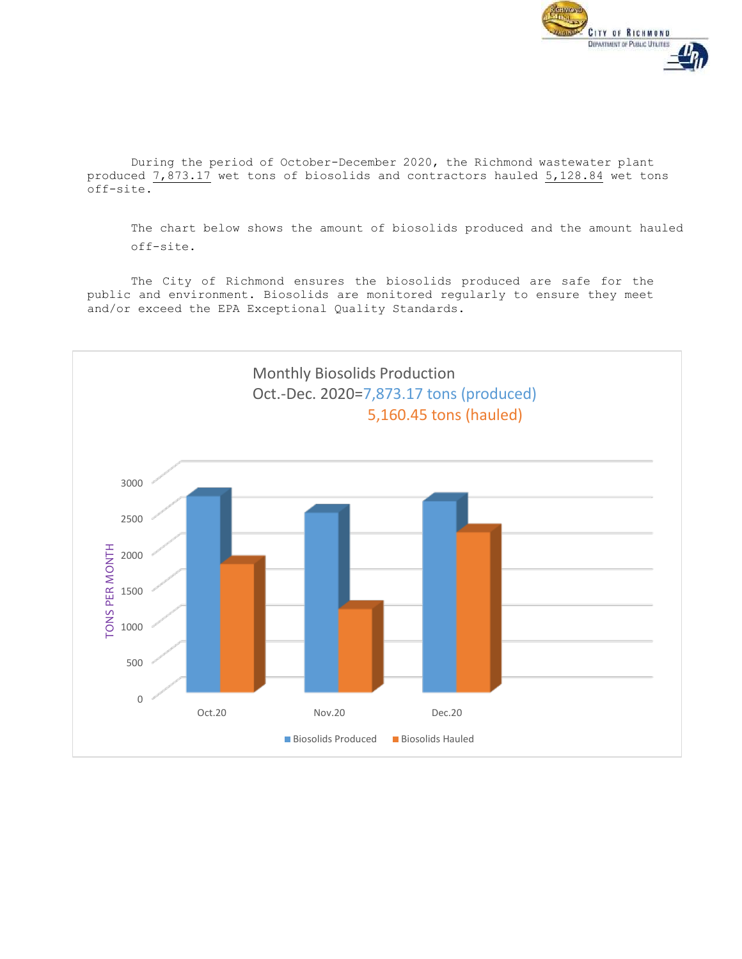

During the period of October-December 2020, the Richmond wastewater plant produced 7,873.17 wet tons of biosolids and contractors hauled 5,128.84 wet tons off-site.

The chart below shows the amount of biosolids produced and the amount hauled off-site.

The City of Richmond ensures the biosolids produced are safe for the public and environment. Biosolids are monitored regularly to ensure they meet and/or exceed the EPA Exceptional Quality Standards.

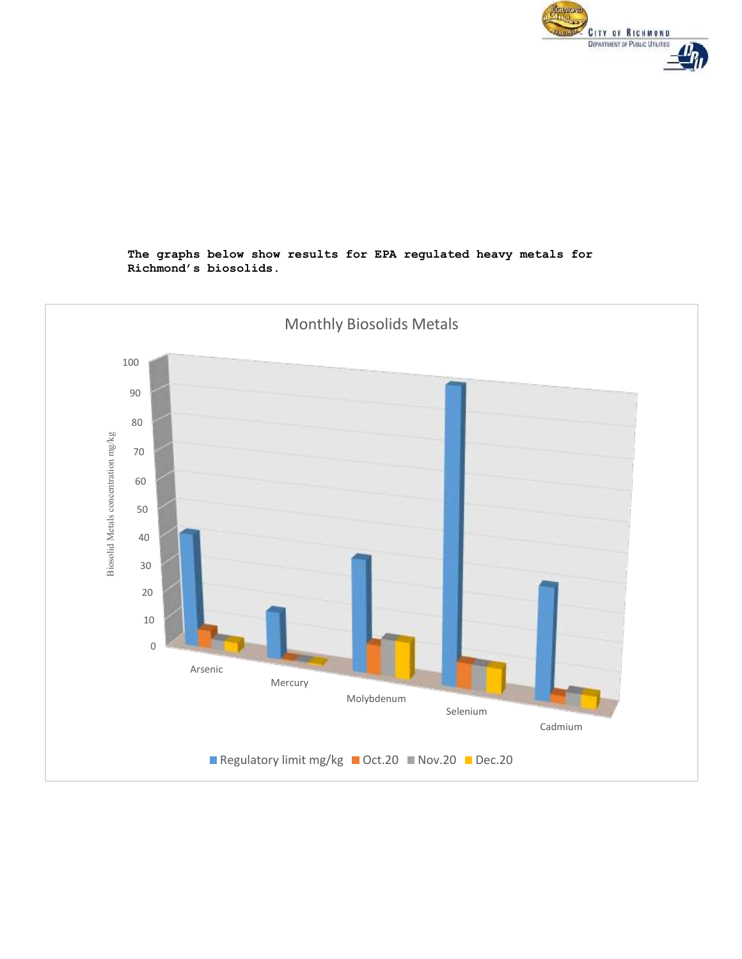

## **The graphs below show results for EPA regulated heavy metals for Richmond's biosolids.**

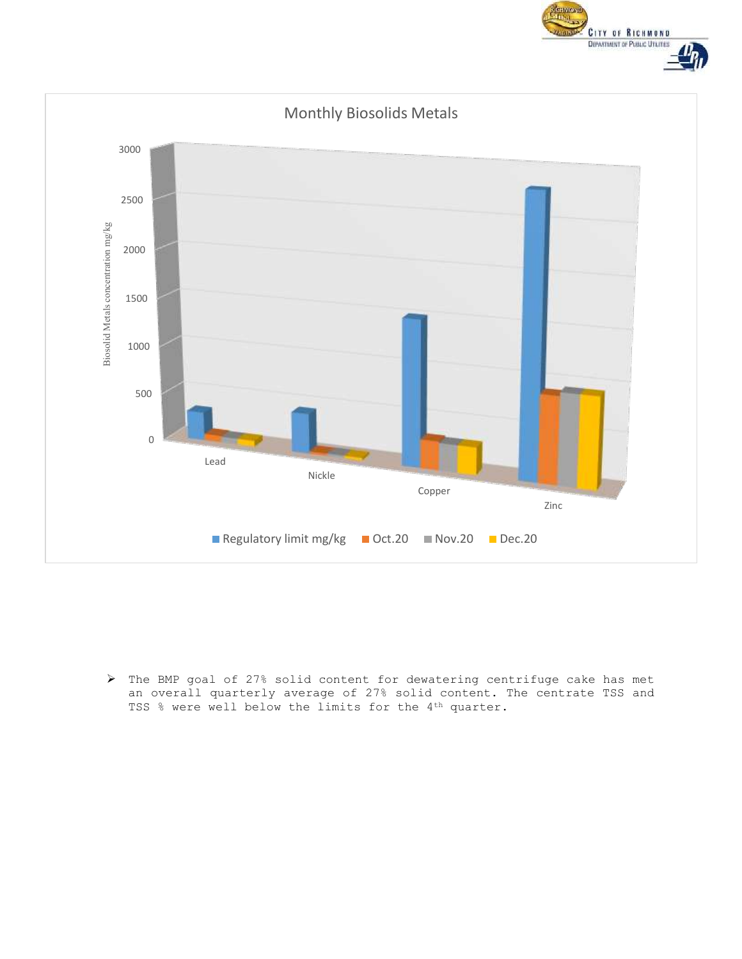



 The BMP goal of 27% solid content for dewatering centrifuge cake has met an overall quarterly average of 27% solid content. The centrate TSS and TSS % were well below the limits for the 4<sup>th</sup> quarter.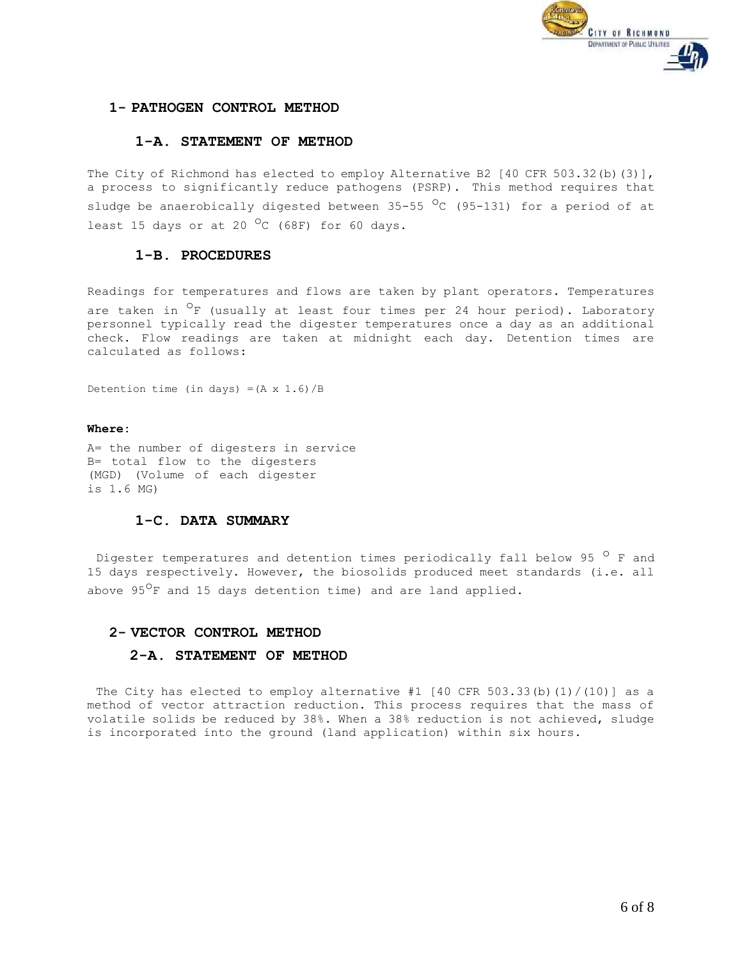

## **1- PATHOGEN CONTROL METHOD**

## **1-A. STATEMENT OF METHOD**

The City of Richmond has elected to employ Alternative B2 [40 CFR 503.32(b)(3)], a process to significantly reduce pathogens (PSRP). This method requires that sludge be anaerobically digested between 35-55  $^{\circ}$ C (95-131) for a period of at least 15 days or at 20  $^{\circ}$ C (68F) for 60 days.

## **1-B. PROCEDURES**

Readings for temperatures and flows are taken by plant operators. Temperatures are taken in <sup>O</sup>F (usually at least four times per 24 hour period). Laboratory personnel typically read the digester temperatures once a day as an additional check. Flow readings are taken at midnight each day. Detention times are calculated as follows:

Detention time (in days) =( $A \times 1.6$ )/B

#### **Where:**

A= the number of digesters in service B= total flow to the digesters (MGD) (Volume of each digester is 1.6 MG)

## **1-C. DATA SUMMARY**

Digester temperatures and detention times periodically fall below 95  $\circ$  F and 15 days respectively. However, the biosolids produced meet standards (i.e. all above 95<sup>0</sup>F and 15 days detention time) and are land applied.

#### **2- VECTOR CONTROL METHOD**

#### **2-A. STATEMENT OF METHOD**

The City has elected to employ alternative #1 [40 CFR 503.33(b)(1)/(10)] as a method of vector attraction reduction. This process requires that the mass of volatile solids be reduced by 38%. When a 38% reduction is not achieved, sludge is incorporated into the ground (land application) within six hours.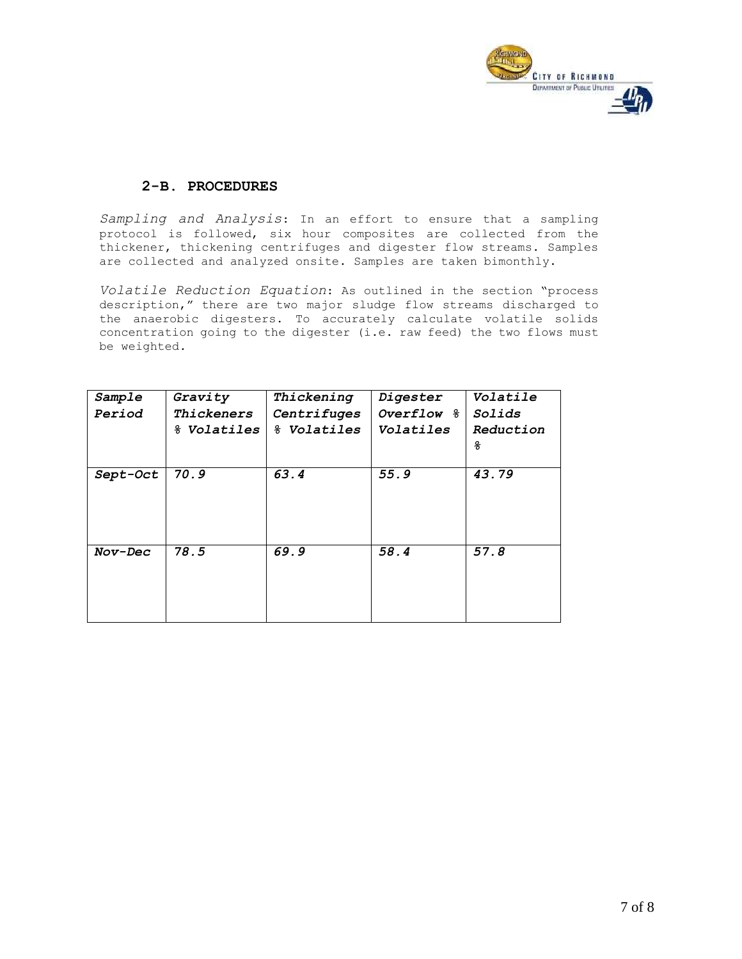

# **2-B. PROCEDURES**

*Sampling and Analysis*: In an effort to ensure that a sampling protocol is followed, six hour composites are collected from the thickener, thickening centrifuges and digester flow streams. Samples are collected and analyzed onsite. Samples are taken bimonthly.

*Volatile Reduction Equation*: As outlined in the section "process description," there are two major sludge flow streams discharged to the anaerobic digesters. To accurately calculate volatile solids concentration going to the digester (i.e. raw feed) the two flows must be weighted.

| Sample   | Gravity            | Thickening         | Digester     | Volatile      |
|----------|--------------------|--------------------|--------------|---------------|
| Period   | Thickeners         | Centrifuges        | Overflow $8$ | <i>Solids</i> |
|          | % <i>Volatiles</i> | % <i>Volatiles</i> | Volatiles    | Reduction     |
|          |                    |                    |              | g             |
|          |                    |                    |              |               |
| Sept-Oct | 70.9               | 63.4               | 55.9         | 43.79         |
|          |                    |                    |              |               |
|          |                    |                    |              |               |
|          |                    |                    |              |               |
|          |                    |                    |              |               |
| Nov-Dec  | 78.5               | 69.9               | 58.4         | 57.8          |
|          |                    |                    |              |               |
|          |                    |                    |              |               |
|          |                    |                    |              |               |
|          |                    |                    |              |               |